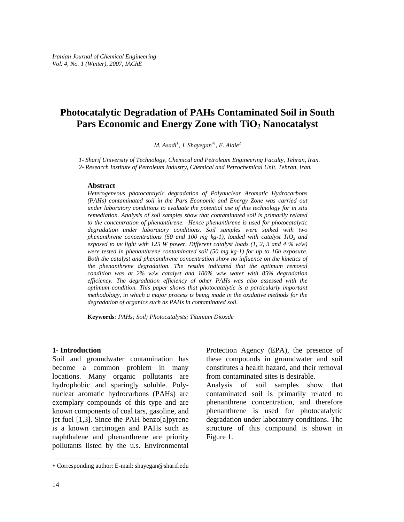# **Photocatalytic Degradation of PAHs Contaminated Soil in South**  Pars Economic and Energy Zone with TiO<sub>2</sub> Nanocatalyst

*M. Asadi1 , J. Shayegan*∗*<sup>1</sup> , E. Alaie<sup>2</sup>*

*1- Sharif University of Technology, Chemical and Petroleum Engineering Faculty, Tehran, Iran.* 

*2- Research Institute of Petroleum Industry, Chemical and Petrochemical Unit, Tehran, Iran.* 

#### **Abstract**

*Heterogeneous photocatalytic degradation of Polynuclear Aromatic Hydrocarbons (PAHs) contaminated soil in the Pars Economic and Energy Zone was carried out under laboratory conditions to evaluate the potential use of this technology for in situ remediation. Analysis of soil samples show that contaminated soil is primarily related to the concentration of phenanthrene. Hence phenanthrene is used for photocatalytic degradation under laboratory conditions. Soil samples were spiked with two phenanthrene concentrations (50 and 100 mg kg-1), loaded with catalyst*  $TiO<sub>2</sub>$  *and exposed to uv light with 125 W power. Different catalyst loads (1, 2, 3 and 4 % w/w) were tested in phenanthrene contaminated soil (50 mg kg-1) for up to 16h exposure. Both the catalyst and phenanthrene concentration show no influence on the kinetics of the phenanthrene degradation. The results indicated that the optimum removal condition was at 2% w/w catalyst and 100% w/w water with 85% degradation efficiency. The degradation efficiency of other PAHs was also assessed with the optimum condition. This paper shows that photocatalytic is a particularly important methodology, in which a major process is being made in the oxidative methods for the degradation of organics such as PAHs in contaminated soil.* 

**Keywords***: PAHs; Soil; Photocatalysts; Titanium Dioxide* 

#### **1- Introduction**

Soil and groundwater contamination has become a common problem in many locations. Many organic pollutants are hydrophobic and sparingly soluble. Polynuclear aromatic hydrocarbons (PAHs) are exemplary compounds of this type and are known components of coal tars, gasoline, and jet fuel [1,3]. Since the PAH benzo[a]pyrene is a known carcinogen and PAHs such as naphthalene and phenanthrene are priority pollutants listed by the u.s. Environmental Protection Agency (EPA), the presence of these compounds in groundwater and soil constitutes a health hazard, and their removal from contaminated sites is desirable.

Analysis of soil samples show that contaminated soil is primarily related to phenanthrene concentration, and therefore phenanthrene is used for photocatalytic degradation under laboratory conditions. The structure of this compound is shown in Figure 1.

l

<sup>∗</sup> Corresponding author: E-mail: shayegan@sharif.edu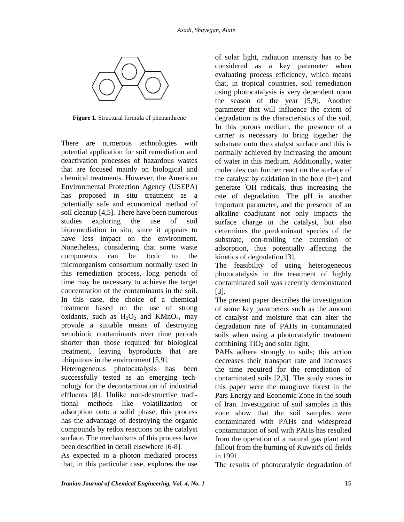

**Figure 1.** Structural formula of phenanthrene

There are numerous technologies with potential application for soil remediation and deactivation processes of hazardous wastes that are focused mainly on biological and chemical treatments. However, the American Environmental Protection Agency (USEPA) has proposed in situ treatment as a potentially safe and economical method of soil cleanup [4,5]. There have been numerous studies exploring the use of soil bioremediation in situ, since it appears to have less impact on the environment. Nonetheless, considering that some waste components can be toxic to the microorganism consortium normally used in this remediation process, long periods of time may be necessary to achieve the target concentration of the contaminants in the soil. In this case, the choice of a chemical treatment based on the use of strong oxidants, such as  $H_2O_2$  and KMnO<sub>4</sub>, may provide a suitable means of destroying xenobiotic contaminants over time periods shorter than those required for biological treatment, leaving byproducts that are ubiquitous in the environment [5,9].

Heterogeneous photocatalysis has been successfully tested as an emerging technology for the decontamination of industrial effluents [8]. Unlike non-destructive traditional methods like volatilization or adsorption onto a solid phase, this process has the advantage of destroying the organic compounds by redox reactions on the catalyst surface. The mechanisms of this process have been described in detail elsewhere [6-8].

As expected in a photon mediated process that, in this particular case, explores the use

of solar light, radiation intensity has to be considered as a key parameter when evaluating process efficiency, which means that, in tropical countries, soil remediation using photocatalysis is very dependent upon the season of the year [5,9]. Another parameter that will influence the extent of degradation is the characteristics of the soil. In this porous medium, the presence of a carrier is necessary to bring together the substrate onto the catalyst surface and this is normally achieved by increasing the amount of water in this medium. Additionally, water molecules can further react on the surface of the catalyst by oxidation in the hole (h+) and generate **·** OH radicals, thus increasing the rate of degradation. The pH is another important parameter, and the presence of an alkaline coadjutant not only impacts the surface charge in the catalyst, but also determines the predominant species of the substrate, con-trolling the extension of adsorption, thus potentially affecting the kinetics of degradation [3].

The feasibility of using heterogeneous photocatalysis in the treatment of highly contaminated soil was recently demonstrated [3].

The present paper describes the investigation of some key parameters such as the amount of catalyst and moisture that can alter the degradation rate of PAHs in contaminated soils when using a photocatalytic treatment combining  $TiO<sub>2</sub>$  and solar light.

PAHs adhere strongly to soils; this action decreases their transport rate and increases the time required for the remediation of contaminated soils [2,3]. The study zones in this paper were the mangrove forest in the Pars Energy and Economic Zone in the south of Iran. Investigation of soil samples in this zone show that the soil samples were contaminated with PAHs and widespread contamination of soil with PAHs has resulted from the operation of a natural gas plant and fallout from the burning of Kuwait's oil fields in 1991.

The results of photocatalytic degradation of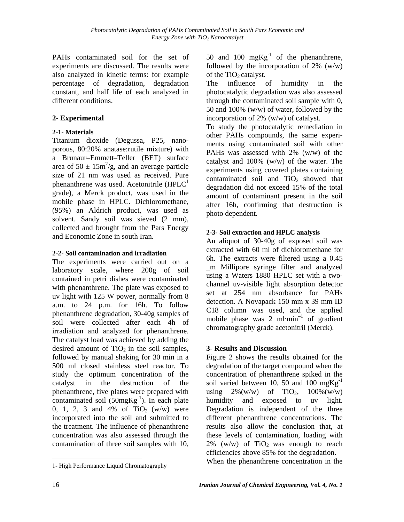PAHs contaminated soil for the set of experiments are discussed. The results were also analyzed in kinetic terms: for example percentage of degradation, degradation constant, and half life of each analyzed in different conditions.

## **2- Experimental**

## **2-1- Materials**

Titanium dioxide (Degussa, P25, nanoporous, 80:20% anatase:rutile mixture) with a Brunaur–Emmett–Teller (BET) surface area of  $50 \pm 15 \text{m}^2/\text{g}$ , and an average particle size of 21 nm was used as received. Pure phenanthrene was used. Acetonitrile  $(HPLC<sup>1</sup>)$ grade), a Merck product, was used in the mobile phase in HPLC. Dichloromethane, (95%) an Aldrich product, was used as solvent. Sandy soil was sieved (2 mm), collected and brought from the Pars Energy and Economic Zone in south Iran.

### **2-2- Soil contamination and irradiation**

The experiments were carried out on a laboratory scale, where 200g of soil contained in petri dishes were contaminated with phenanthrene. The plate was exposed to uv light with 125 W power, normally from 8 a.m. to 24 p.m. for 16h. To follow phenanthrene degradation, 30-40g samples of soil were collected after each 4h of irradiation and analyzed for phenanthrene. The catalyst load was achieved by adding the desired amount of  $TiO<sub>2</sub>$  in the soil samples, followed by manual shaking for 30 min in a 500 ml closed stainless steel reactor. To study the optimum concentration of the catalyst in the destruction of the phenanthrene, five plates were prepared with contaminated soil  $(50mgKg^{-1})$ . In each plate 0, 1, 2, 3 and 4% of  $TiO<sub>2</sub>$  (w/w) were incorporated into the soil and submitted to the treatment. The influence of phenanthrene concentration was also assessed through the contamination of three soil samples with 10, 50 and 100  $mgKg^{-1}$  of the phenanthrene, followed by the incorporation of  $2\%$  (w/w) of the  $TiO<sub>2</sub>$  catalyst.

The influence of humidity in the photocatalytic degradation was also assessed through the contaminated soil sample with 0, 50 and 100% (w/w) of water, followed by the incorporation of 2% (w/w) of catalyst.

To study the photocatalytic remediation in other PAHs compounds, the same experiments using contaminated soil with other PAHs was assessed with 2% (w/w) of the catalyst and 100% (w/w) of the water. The experiments using covered plates containing contaminated soil and  $TiO<sub>2</sub>$  showed that degradation did not exceed 15% of the total amount of contaminant present in the soil after 16h, confirming that destruction is photo dependent.

### **2-3- Soil extraction and HPLC analysis**

An aliquot of 30-40g of exposed soil was extracted with 60 ml of dichloromethane for 6h. The extracts were filtered using a 0.45 \_m Millipore syringe filter and analyzed using a Waters 1880 HPLC set with a twochannel uv-visible light absorption detector set at 254 nm absorbance for PAHs detection. A Novapack 150 mm x 39 mm ID C18 column was used, and the applied mobile phase was 2 ml $\cdot$ min<sup>-1</sup> of gradient chromatography grade acetonitril (Merck).

### **3- Results and Discussion**

Figure 2 shows the results obtained for the degradation of the target compound when the concentration of phenanthrene spiked in the soil varied between 10, 50 and 100  $mgKg^{-1}$ using  $2\%(w/w)$  of  $TiO<sub>2</sub>$ ,  $100%(w/w)$ humidity and exposed to uv light. Degradation is independent of the three different phenanthrene concentrations. The results also allow the conclusion that, at these levels of contamination, loading with 2% (w/w) of  $TiO<sub>2</sub>$  was enough to reach efficiencies above 85% for the degradation.

When the phenanthrene concentration in the

l

<sup>1</sup>- High Performance Liquid Chromatography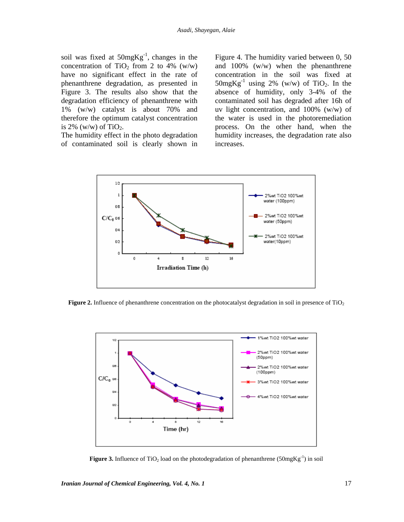soil was fixed at  $50mgKg^{-1}$ , changes in the concentration of TiO<sub>2</sub> from 2 to 4% (w/w) have no significant effect in the rate of phenanthrene degradation, as presented in Figure 3. The results also show that the degradation efficiency of phenanthrene with 1% (w/w) catalyst is about 70% and therefore the optimum catalyst concentration is  $2\%$  (w/w) of TiO<sub>2</sub>.

The humidity effect in the photo degradation of contaminated soil is clearly shown in Figure 4. The humidity varied between 0, 50 and 100% (w/w) when the phenanthrene concentration in the soil was fixed at  $50mgKg^{-1}$  using 2% (w/w) of TiO<sub>2</sub>. In the absence of humidity, only 3-4% of the contaminated soil has degraded after 16h of uv light concentration, and 100% (w/w) of the water is used in the photoremediation process. On the other hand, when the humidity increases, the degradation rate also increases.



**Figure 2.** Influence of phenanthrene concentration on the photocatalyst degradation in soil in presence of TiO<sub>2</sub>



**Figure 3.** Influence of TiO<sub>2</sub> load on the photodegradation of phenanthrene ( $50mgKg^{-1}$ ) in soil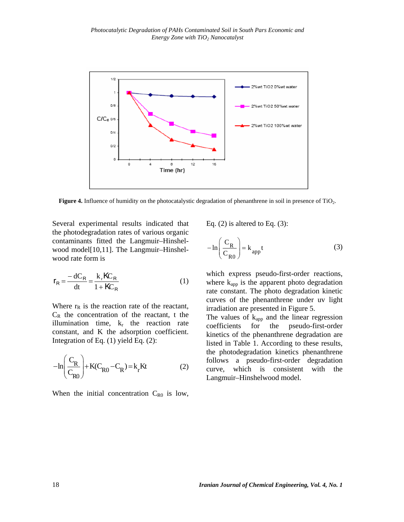

**Figure 4.** Influence of humidity on the photocatalystic degradation of phenanthrene in soil in presence of TiO<sub>2</sub>.

Several experimental results indicated that the photodegradation rates of various organic contaminants fitted the Langmuir–Hinshelwood model[10,11]. The Langmuir–Hinshelwood rate form is

$$
r_{\rm R} = \frac{-dC_{\rm R}}{dt} = \frac{k_{\rm r} \kappa_{\rm R}}{1 + \kappa_{\rm R}}\tag{1}
$$

Where  $r_R$  is the reaction rate of the reactant,  $C_R$  the concentration of the reactant, t the illumination time,  $k_r$  the reaction rate constant, and K the adsorption coefficient. Integration of Eq. (1) yield Eq. (2):

$$
-\ln\left(\frac{C_R}{C_{R0}}\right) + K(C_{R0} - C_R) = k_r Kt
$$
 (2)

When the initial concentration  $C_{R0}$  is low,

Eq.  $(2)$  is altered to Eq.  $(3)$ :

$$
-\ln\left(\frac{C_R}{C_{R0}}\right) = k_{app}t
$$
 (3)

which express pseudo-first-order reactions, where  $k_{app}$  is the apparent photo degradation rate constant. The photo degradation kinetic curves of the phenanthrene under uv light irradiation are presented in Figure 5.

The values of  $k_{app}$  and the linear regression coefficients for the pseudo-first-order kinetics of the phenanthrene degradation are listed in Table 1. According to these results, the photodegradation kinetics phenanthrene follows a pseudo-first-order degradation curve, which is consistent with the Langmuir–Hinshelwood model.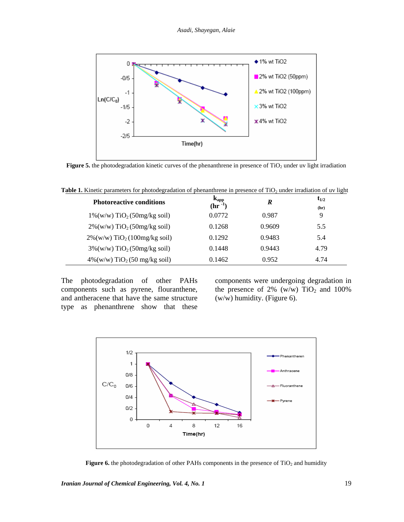

**Figure 5.** the photodegradation kinetic curves of the phenanthrene in presence of TiO<sub>2</sub> under uv light irradiation

| <b>Photoreactive conditions</b>              | $\frac{k_{app}}{(hr^{-1})}$ | R      | $t_{1/2}$ |  |
|----------------------------------------------|-----------------------------|--------|-----------|--|
|                                              |                             |        | (hr)      |  |
| $1\%$ (w/w) TiO <sub>2</sub> (50mg/kg soil)  | 0.0772                      | 0.987  | 9         |  |
| $2\%$ (w/w) TiO <sub>2</sub> (50mg/kg soil)  | 0.1268                      | 0.9609 | 5.5       |  |
| $2\%$ (w/w) TiO <sub>2</sub> (100mg/kg soil) | 0.1292                      | 0.9483 | 5.4       |  |
| $3\%$ (w/w) TiO <sub>2</sub> (50mg/kg soil)  | 0.1448                      | 0.9443 | 4.79      |  |
| $4\%$ (w/w) TiO <sub>2</sub> (50 mg/kg soil) | 0.1462                      | 0.952  | 4.74      |  |
|                                              |                             |        |           |  |

**Table 1.** Kinetic parameters for photodegradation of phenanthrene in presence of TiO<sub>2</sub> under irradiation of uv light

The photodegradation of other PAHs components such as pyrene, flouranthene, and antheracene that have the same structure type as phenanthrene show that these components were undergoing degradation in the presence of  $2\%$  (w/w) TiO<sub>2</sub> and 100% (w/w) humidity. (Figure 6).